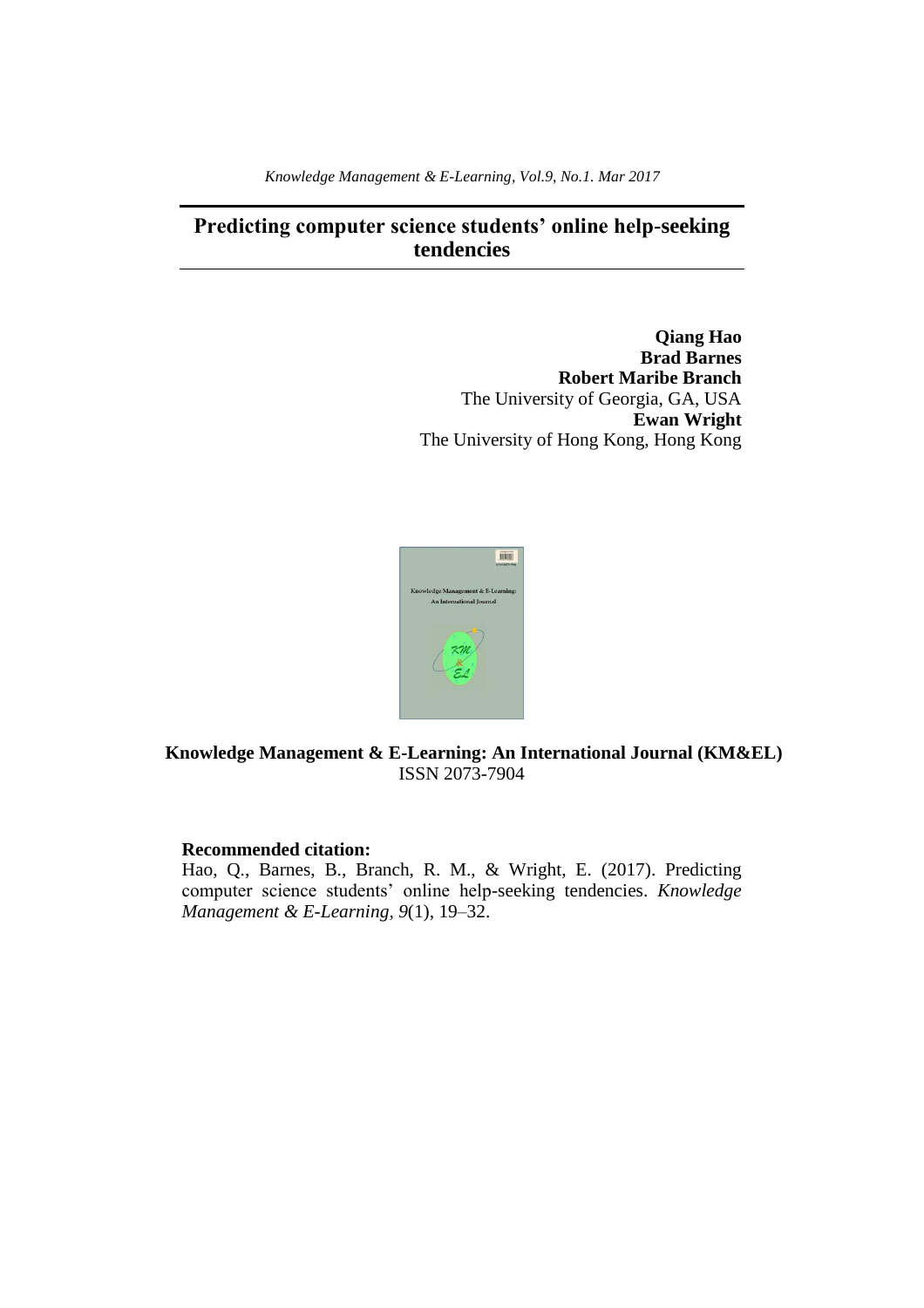*Knowledge Management & E-Learning, Vol.9, No.1. Mar 2017*

# **Predicting computer science students' online help-seeking tendencies**

**Qiang Hao Brad Barnes Robert Maribe Branch** The University of Georgia, GA, USA **Ewan Wright** The University of Hong Kong, Hong Kong



# **Knowledge Management & E-Learning: An International Journal (KM&EL)** ISSN 2073-7904

# **Recommended citation:**

Hao, Q., Barnes, B., Branch, R. M., & Wright, E. (2017). Predicting computer science students' online help-seeking tendencies. *Knowledge Management & E-Learning, 9*(1), 19–32.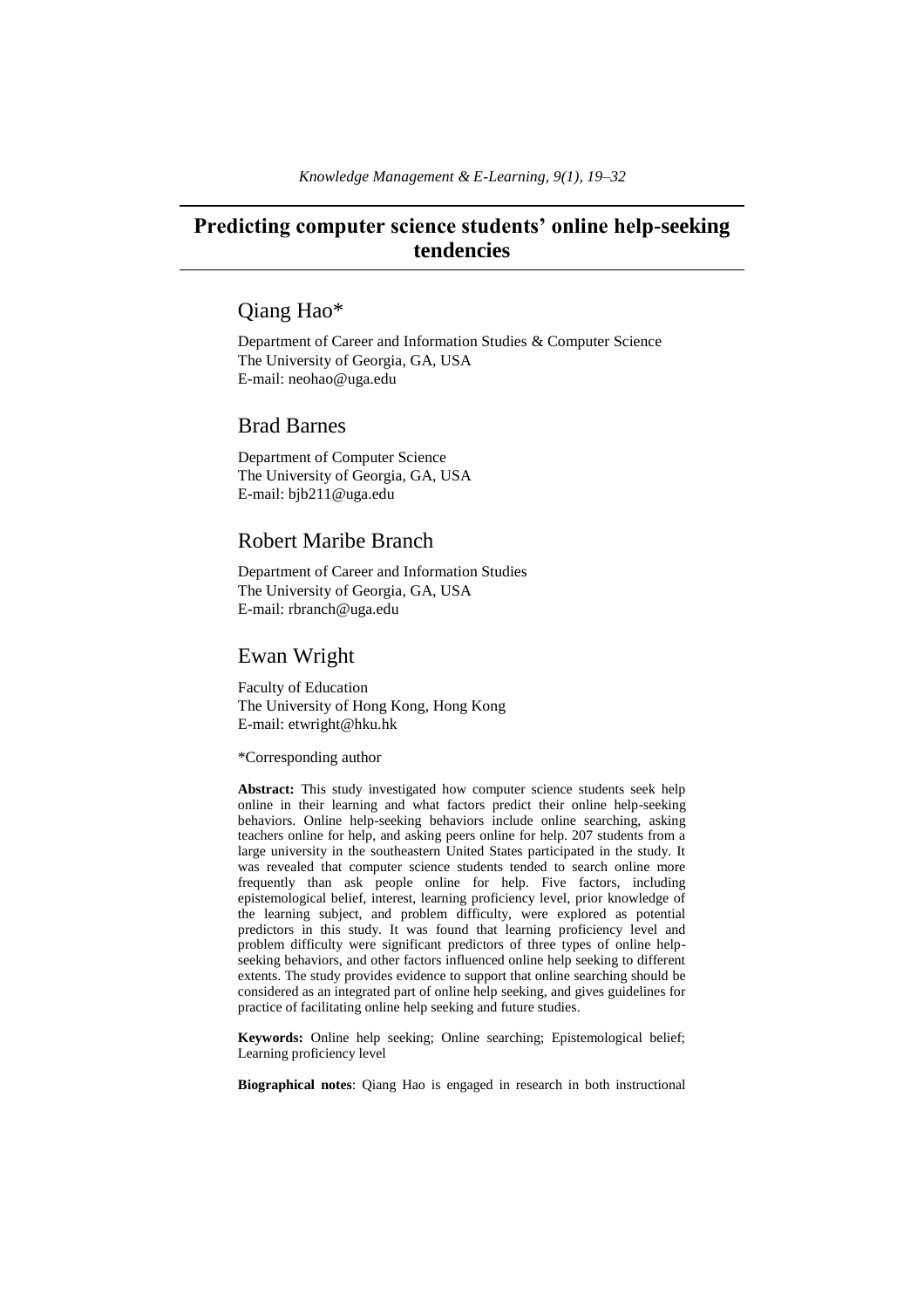# **Predicting computer science students' online help-seeking tendencies**

# Qiang Hao\*

Department of Career and Information Studies & Computer Science The University of Georgia, GA, USA E-mail: neohao@uga.edu

# Brad Barnes

Department of Computer Science The University of Georgia, GA, USA E-mail: bjb211@uga.edu

# Robert Maribe Branch

Department of Career and Information Studies The University of Georgia, GA, USA E-mail: rbranch@uga.edu

# Ewan Wright

Faculty of Education The University of Hong Kong, Hong Kong E-mail: etwright@hku.hk

\*Corresponding author

**Abstract:** This study investigated how computer science students seek help online in their learning and what factors predict their online help-seeking behaviors. Online help-seeking behaviors include online searching, asking teachers online for help, and asking peers online for help. 207 students from a large university in the southeastern United States participated in the study. It was revealed that computer science students tended to search online more frequently than ask people online for help. Five factors, including epistemological belief, interest, learning proficiency level, prior knowledge of the learning subject, and problem difficulty, were explored as potential predictors in this study. It was found that learning proficiency level and problem difficulty were significant predictors of three types of online helpseeking behaviors, and other factors influenced online help seeking to different extents. The study provides evidence to support that online searching should be considered as an integrated part of online help seeking, and gives guidelines for practice of facilitating online help seeking and future studies.

**Keywords:** Online help seeking; Online searching; Epistemological belief; Learning proficiency level

**Biographical notes**: Qiang Hao is engaged in research in both instructional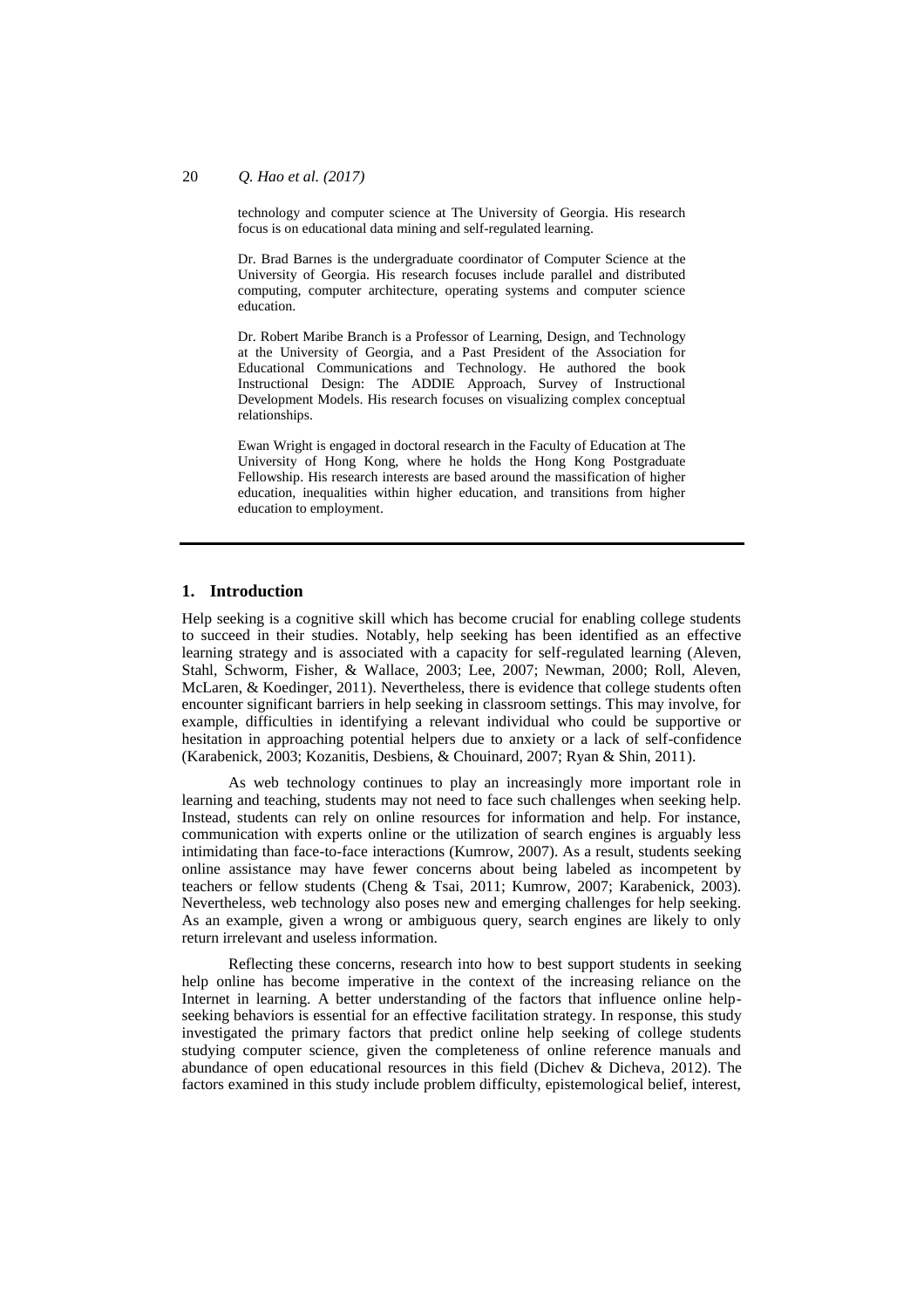technology and computer science at The University of Georgia. His research focus is on educational data mining and self-regulated learning.

Dr. Brad Barnes is the undergraduate coordinator of Computer Science at the University of Georgia. His research focuses include parallel and distributed computing, computer architecture, operating systems and computer science education.

Dr. Robert Maribe Branch is a Professor of Learning, Design, and Technology at the University of Georgia, and a Past President of the Association for Educational Communications and Technology. He authored the book Instructional Design: The ADDIE Approach, Survey of Instructional Development Models. His research focuses on visualizing complex conceptual relationships.

Ewan Wright is engaged in doctoral research in the Faculty of Education at The University of Hong Kong, where he holds the Hong Kong Postgraduate Fellowship. His research interests are based around the massification of higher education, inequalities within higher education, and transitions from higher education to employment.

#### **1. Introduction**

Help seeking is a cognitive skill which has become crucial for enabling college students to succeed in their studies. Notably, help seeking has been identified as an effective learning strategy and is associated with a capacity for self-regulated learning (Aleven, Stahl, Schworm, Fisher, & Wallace, 2003; Lee, 2007; Newman, 2000; Roll, Aleven, McLaren, & Koedinger, 2011). Nevertheless, there is evidence that college students often encounter significant barriers in help seeking in classroom settings. This may involve, for example, difficulties in identifying a relevant individual who could be supportive or hesitation in approaching potential helpers due to anxiety or a lack of self-confidence (Karabenick, 2003; Kozanitis, Desbiens, & Chouinard, 2007; Ryan & Shin, 2011).

As web technology continues to play an increasingly more important role in learning and teaching, students may not need to face such challenges when seeking help. Instead, students can rely on online resources for information and help. For instance, communication with experts online or the utilization of search engines is arguably less intimidating than face-to-face interactions (Kumrow, 2007). As a result, students seeking online assistance may have fewer concerns about being labeled as incompetent by teachers or fellow students (Cheng & Tsai, 2011; Kumrow, 2007; Karabenick, 2003). Nevertheless, web technology also poses new and emerging challenges for help seeking. As an example, given a wrong or ambiguous query, search engines are likely to only return irrelevant and useless information.

Reflecting these concerns, research into how to best support students in seeking help online has become imperative in the context of the increasing reliance on the Internet in learning. A better understanding of the factors that influence online helpseeking behaviors is essential for an effective facilitation strategy. In response, this study investigated the primary factors that predict online help seeking of college students studying computer science, given the completeness of online reference manuals and abundance of open educational resources in this field (Dichev & Dicheva, 2012). The factors examined in this study include problem difficulty, epistemological belief, interest,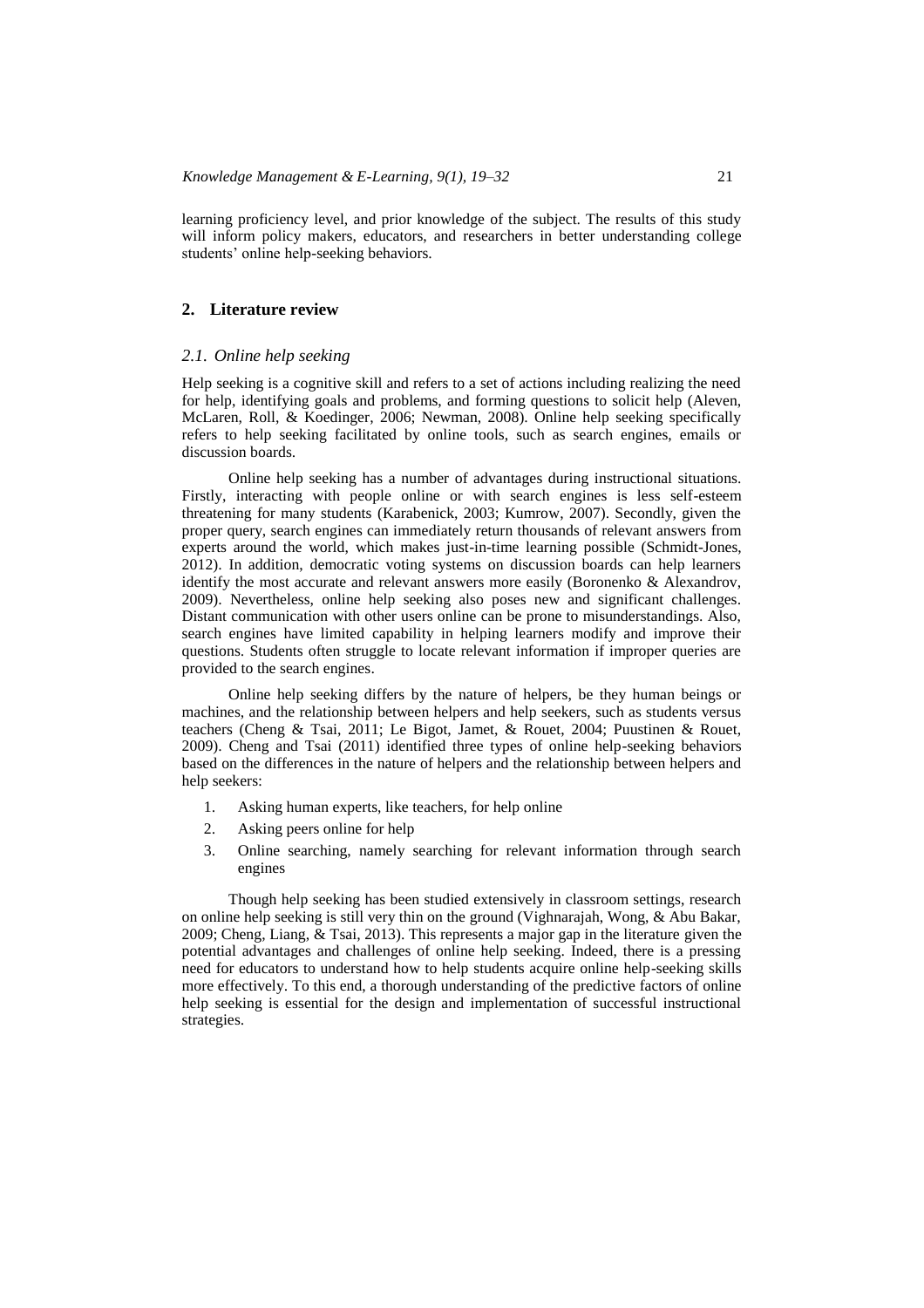learning proficiency level, and prior knowledge of the subject. The results of this study will inform policy makers, educators, and researchers in better understanding college students' online help-seeking behaviors.

## **2. Literature review**

#### *2.1. Online help seeking*

Help seeking is a cognitive skill and refers to a set of actions including realizing the need for help, identifying goals and problems, and forming questions to solicit help (Aleven, McLaren, Roll, & Koedinger, 2006; Newman, 2008). Online help seeking specifically refers to help seeking facilitated by online tools, such as search engines, emails or discussion boards.

Online help seeking has a number of advantages during instructional situations. Firstly, interacting with people online or with search engines is less self-esteem threatening for many students (Karabenick, 2003; Kumrow, 2007). Secondly, given the proper query, search engines can immediately return thousands of relevant answers from experts around the world, which makes just-in-time learning possible (Schmidt-Jones, 2012). In addition, democratic voting systems on discussion boards can help learners identify the most accurate and relevant answers more easily (Boronenko & Alexandrov, 2009). Nevertheless, online help seeking also poses new and significant challenges. Distant communication with other users online can be prone to misunderstandings. Also, search engines have limited capability in helping learners modify and improve their questions. Students often struggle to locate relevant information if improper queries are provided to the search engines.

Online help seeking differs by the nature of helpers, be they human beings or machines, and the relationship between helpers and help seekers, such as students versus teachers (Cheng & Tsai, 2011; Le Bigot, Jamet, & Rouet, 2004; Puustinen & Rouet, 2009). Cheng and Tsai (2011) identified three types of online help-seeking behaviors based on the differences in the nature of helpers and the relationship between helpers and help seekers:

- 1. Asking human experts, like teachers, for help online
- 2. Asking peers online for help
- 3. Online searching, namely searching for relevant information through search engines

Though help seeking has been studied extensively in classroom settings, research on online help seeking is still very thin on the ground (Vighnarajah, Wong, & Abu Bakar, 2009; Cheng, Liang, & Tsai, 2013). This represents a major gap in the literature given the potential advantages and challenges of online help seeking. Indeed, there is a pressing need for educators to understand how to help students acquire online help-seeking skills more effectively. To this end, a thorough understanding of the predictive factors of online help seeking is essential for the design and implementation of successful instructional strategies.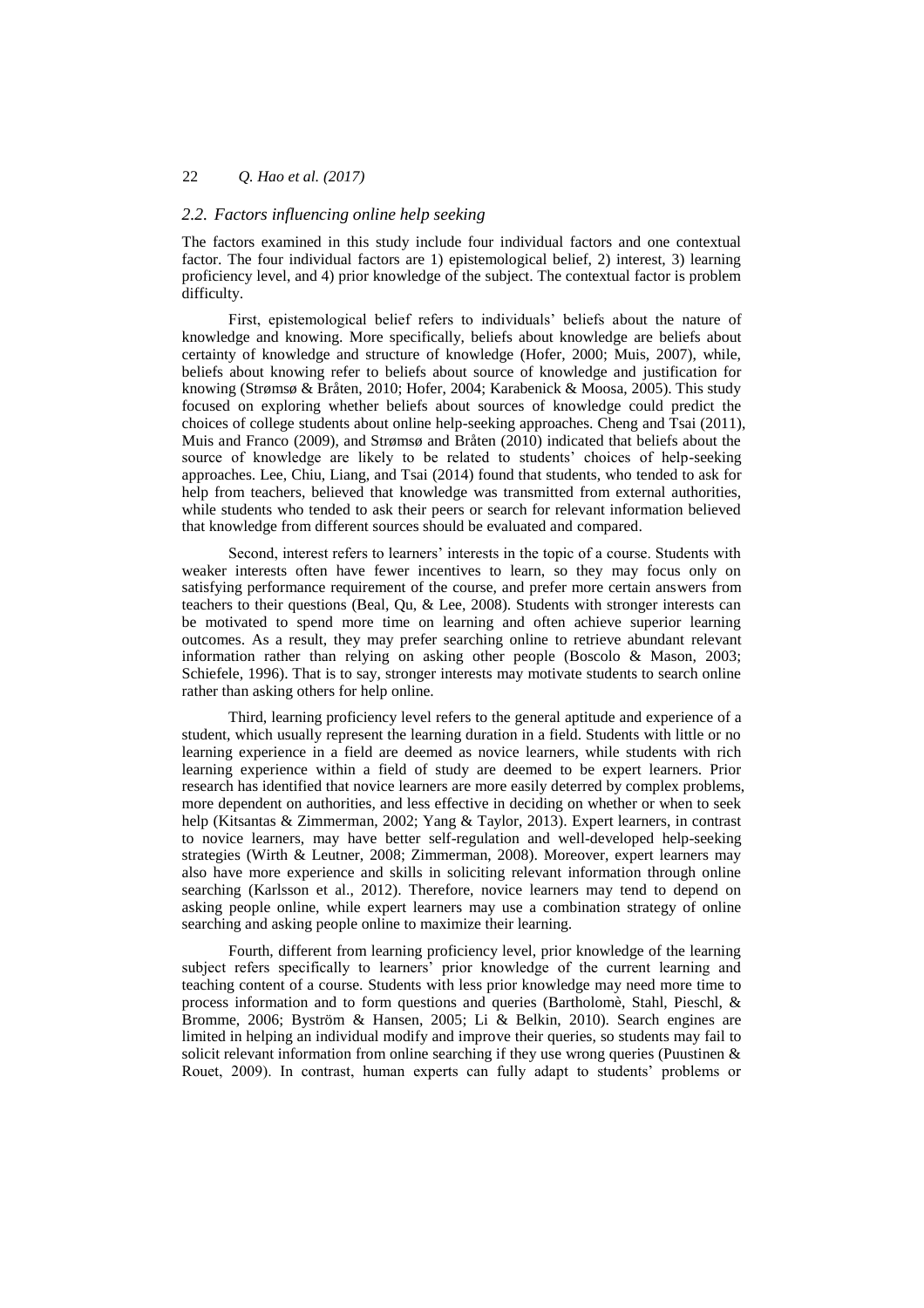#### *2.2. Factors influencing online help seeking*

The factors examined in this study include four individual factors and one contextual factor. The four individual factors are 1) epistemological belief, 2) interest, 3) learning proficiency level, and 4) prior knowledge of the subject. The contextual factor is problem difficulty.

First, epistemological belief refers to individuals' beliefs about the nature of knowledge and knowing. More specifically, beliefs about knowledge are beliefs about certainty of knowledge and structure of knowledge (Hofer, 2000; Muis, 2007), while, beliefs about knowing refer to beliefs about source of knowledge and justification for knowing (Strømsø & Bråten, 2010; Hofer, 2004; Karabenick & Moosa, 2005). This study focused on exploring whether beliefs about sources of knowledge could predict the choices of college students about online help-seeking approaches. Cheng and Tsai (2011), Muis and Franco (2009), and Strømsø and Bråten (2010) indicated that beliefs about the source of knowledge are likely to be related to students' choices of help-seeking approaches. Lee, Chiu, Liang, and Tsai (2014) found that students, who tended to ask for help from teachers, believed that knowledge was transmitted from external authorities, while students who tended to ask their peers or search for relevant information believed that knowledge from different sources should be evaluated and compared.

Second, interest refers to learners' interests in the topic of a course. Students with weaker interests often have fewer incentives to learn, so they may focus only on satisfying performance requirement of the course, and prefer more certain answers from teachers to their questions (Beal, Qu, & Lee, 2008). Students with stronger interests can be motivated to spend more time on learning and often achieve superior learning outcomes. As a result, they may prefer searching online to retrieve abundant relevant information rather than relying on asking other people (Boscolo & Mason, 2003; Schiefele, 1996). That is to say, stronger interests may motivate students to search online rather than asking others for help online.

Third, learning proficiency level refers to the general aptitude and experience of a student, which usually represent the learning duration in a field. Students with little or no learning experience in a field are deemed as novice learners, while students with rich learning experience within a field of study are deemed to be expert learners. Prior research has identified that novice learners are more easily deterred by complex problems, more dependent on authorities, and less effective in deciding on whether or when to seek help (Kitsantas & Zimmerman, 2002; Yang & Taylor, 2013). Expert learners, in contrast to novice learners, may have better self-regulation and well-developed help-seeking strategies (Wirth & Leutner, 2008; Zimmerman, 2008). Moreover, expert learners may also have more experience and skills in soliciting relevant information through online searching (Karlsson et al., 2012). Therefore, novice learners may tend to depend on asking people online, while expert learners may use a combination strategy of online searching and asking people online to maximize their learning.

Fourth, different from learning proficiency level, prior knowledge of the learning subject refers specifically to learners' prior knowledge of the current learning and teaching content of a course. Students with less prior knowledge may need more time to process information and to form questions and queries (Bartholomè, Stahl, Pieschl, & Bromme, 2006; Byström & Hansen, 2005; Li & Belkin, 2010). Search engines are limited in helping an individual modify and improve their queries, so students may fail to solicit relevant information from online searching if they use wrong queries (Puustinen  $\&$ Rouet, 2009). In contrast, human experts can fully adapt to students' problems or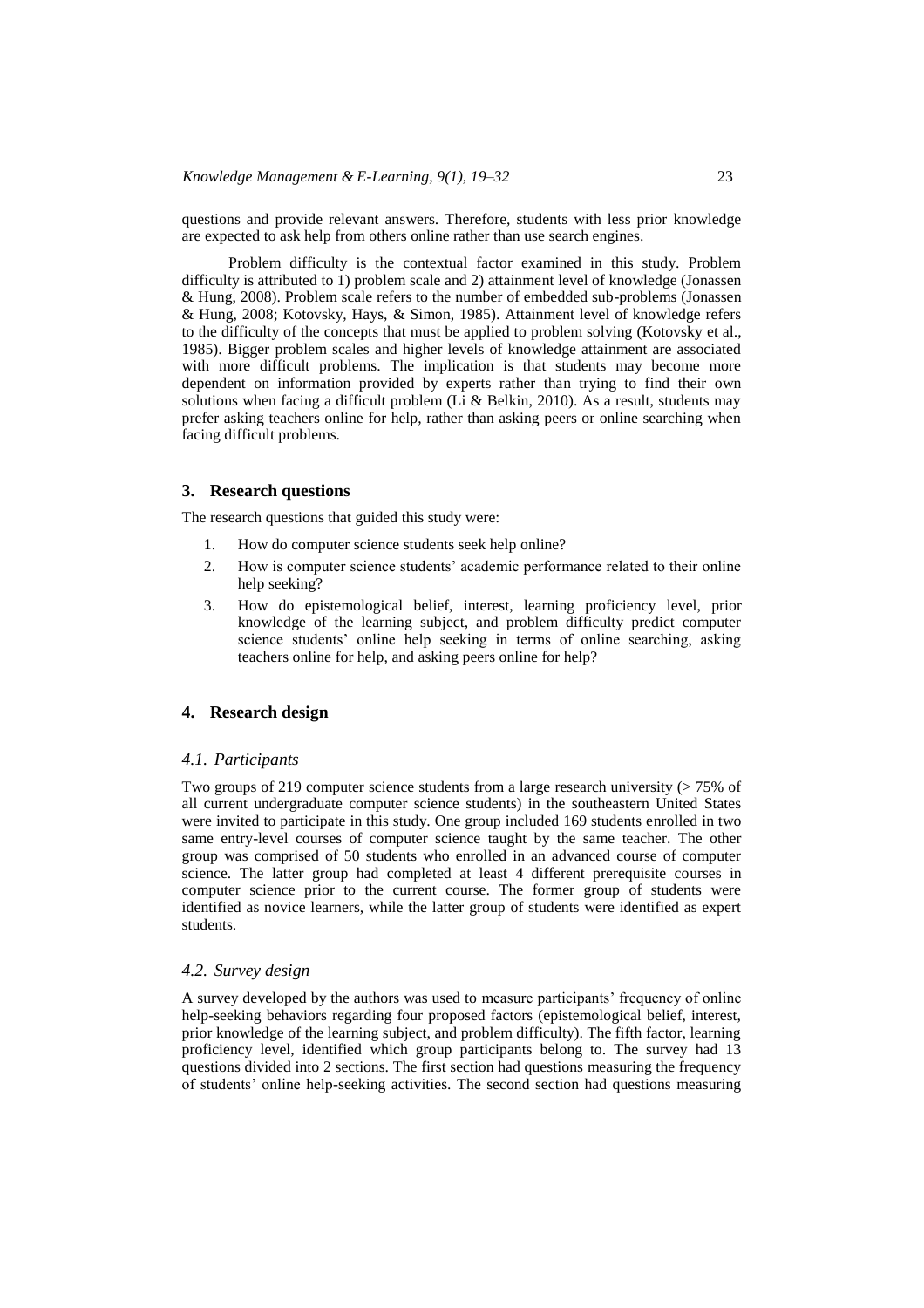questions and provide relevant answers. Therefore, students with less prior knowledge are expected to ask help from others online rather than use search engines.

Problem difficulty is the contextual factor examined in this study. Problem difficulty is attributed to 1) problem scale and 2) attainment level of knowledge (Jonassen & Hung, 2008). Problem scale refers to the number of embedded sub-problems (Jonassen & Hung, 2008; Kotovsky, Hays, & Simon, 1985). Attainment level of knowledge refers to the difficulty of the concepts that must be applied to problem solving (Kotovsky et al., 1985). Bigger problem scales and higher levels of knowledge attainment are associated with more difficult problems. The implication is that students may become more dependent on information provided by experts rather than trying to find their own solutions when facing a difficult problem (Li & Belkin, 2010). As a result, students may prefer asking teachers online for help, rather than asking peers or online searching when facing difficult problems.

#### **3. Research questions**

The research questions that guided this study were:

- 1. How do computer science students seek help online?
- 2. How is computer science students' academic performance related to their online help seeking?
- 3. How do epistemological belief, interest, learning proficiency level, prior knowledge of the learning subject, and problem difficulty predict computer science students' online help seeking in terms of online searching, asking teachers online for help, and asking peers online for help?

## **4. Research design**

#### *4.1. Participants*

Two groups of 219 computer science students from a large research university  $($  > 75% of all current undergraduate computer science students) in the southeastern United States were invited to participate in this study. One group included 169 students enrolled in two same entry-level courses of computer science taught by the same teacher. The other group was comprised of 50 students who enrolled in an advanced course of computer science. The latter group had completed at least 4 different prerequisite courses in computer science prior to the current course. The former group of students were identified as novice learners, while the latter group of students were identified as expert students.

#### *4.2. Survey design*

A survey developed by the authors was used to measure participants' frequency of online help-seeking behaviors regarding four proposed factors (epistemological belief, interest, prior knowledge of the learning subject, and problem difficulty). The fifth factor, learning proficiency level, identified which group participants belong to. The survey had 13 questions divided into 2 sections. The first section had questions measuring the frequency of students' online help-seeking activities. The second section had questions measuring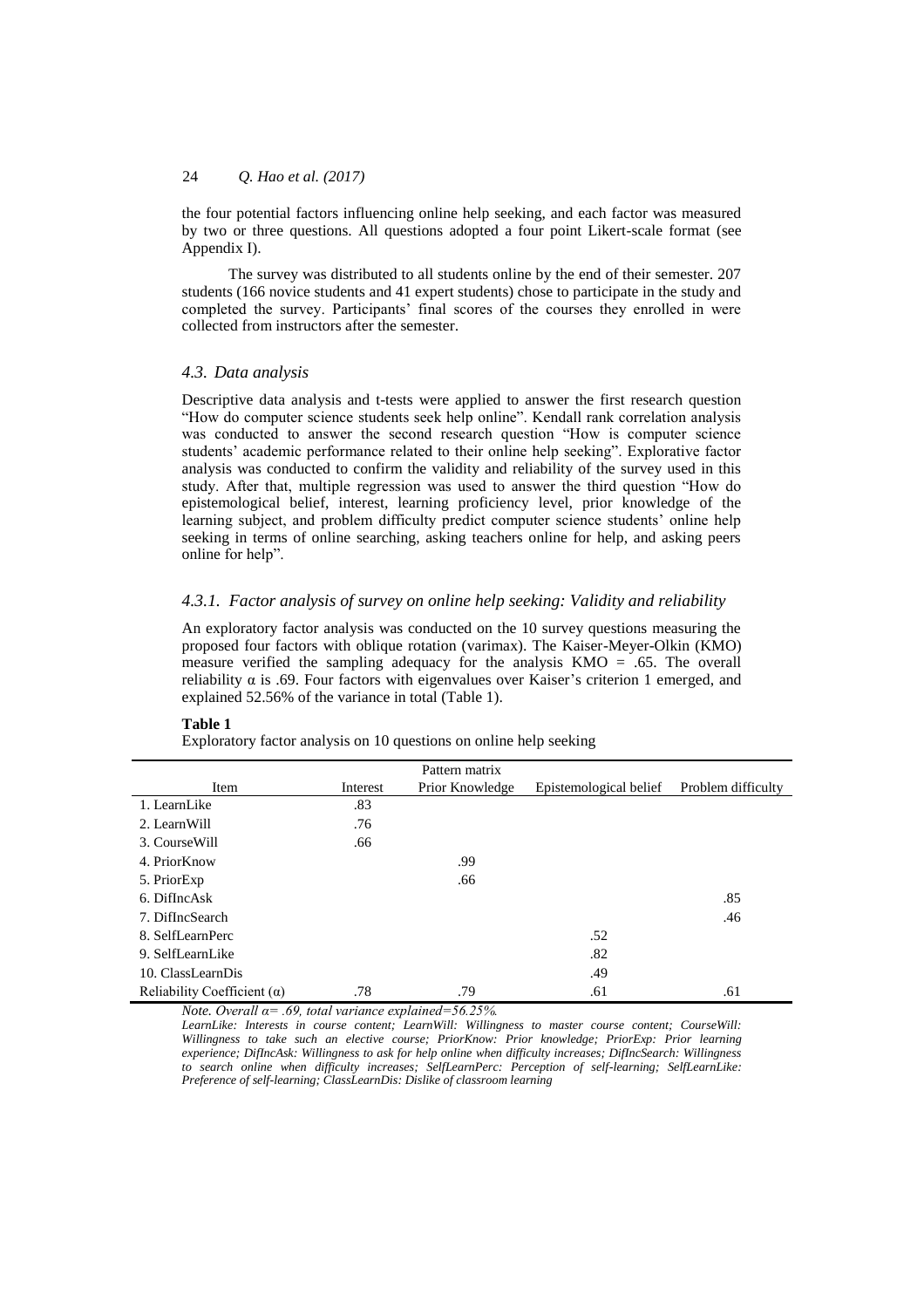the four potential factors influencing online help seeking, and each factor was measured by two or three questions. All questions adopted a four point Likert-scale format (see Appendix I).

The survey was distributed to all students online by the end of their semester. 207 students (166 novice students and 41 expert students) chose to participate in the study and completed the survey. Participants' final scores of the courses they enrolled in were collected from instructors after the semester.

#### *4.3. Data analysis*

Descriptive data analysis and t-tests were applied to answer the first research question "How do computer science students seek help online". Kendall rank correlation analysis was conducted to answer the second research question "How is computer science students' academic performance related to their online help seeking". Explorative factor analysis was conducted to confirm the validity and reliability of the survey used in this study. After that, multiple regression was used to answer the third question "How do epistemological belief, interest, learning proficiency level, prior knowledge of the learning subject, and problem difficulty predict computer science students' online help seeking in terms of online searching, asking teachers online for help, and asking peers online for help".

## *4.3.1. Factor analysis of survey on online help seeking: Validity and reliability*

An exploratory factor analysis was conducted on the 10 survey questions measuring the proposed four factors with oblique rotation (varimax). The Kaiser-Meyer-Olkin (KMO) measure verified the sampling adequacy for the analysis KMO = .65. The overall reliability  $\alpha$  is .69. Four factors with eigenvalues over Kaiser's criterion 1 emerged, and explained 52.56% of the variance in total (Table 1).

#### **Table 1**

Exploratory factor analysis on 10 questions on online help seeking

|                                    |          | Pattern matrix  |                        |                    |
|------------------------------------|----------|-----------------|------------------------|--------------------|
| Item                               | Interest | Prior Knowledge | Epistemological belief | Problem difficulty |
| 1. LearnLike                       | .83      |                 |                        |                    |
| 2. LearnWill                       | .76      |                 |                        |                    |
| 3. Course Will                     | .66      |                 |                        |                    |
| 4. PriorKnow                       |          | .99             |                        |                    |
| 5. PriorExp                        |          | .66             |                        |                    |
| 6. DifIncAsk                       |          |                 |                        | .85                |
| 7. DifIncSearch                    |          |                 |                        | .46                |
| 8. SelfLearnPerc                   |          |                 | .52                    |                    |
| 9. SelfLearnLike                   |          |                 | .82                    |                    |
| 10. ClassLearnDis                  |          |                 | .49                    |                    |
| Reliability Coefficient $(\alpha)$ | .78      | .79             | .61                    | .61                |

*Note. Overall α= .69, total variance explained=56.25%.*

*LearnLike: Interests in course content; LearnWill: Willingness to master course content; CourseWill: Willingness to take such an elective course; PriorKnow: Prior knowledge; PriorExp: Prior learning experience; DifIncAsk: Willingness to ask for help online when difficulty increases; DifIncSearch: Willingness to search online when difficulty increases; SelfLearnPerc: Perception of self-learning; SelfLearnLike: Preference of self-learning; ClassLearnDis: Dislike of classroom learning*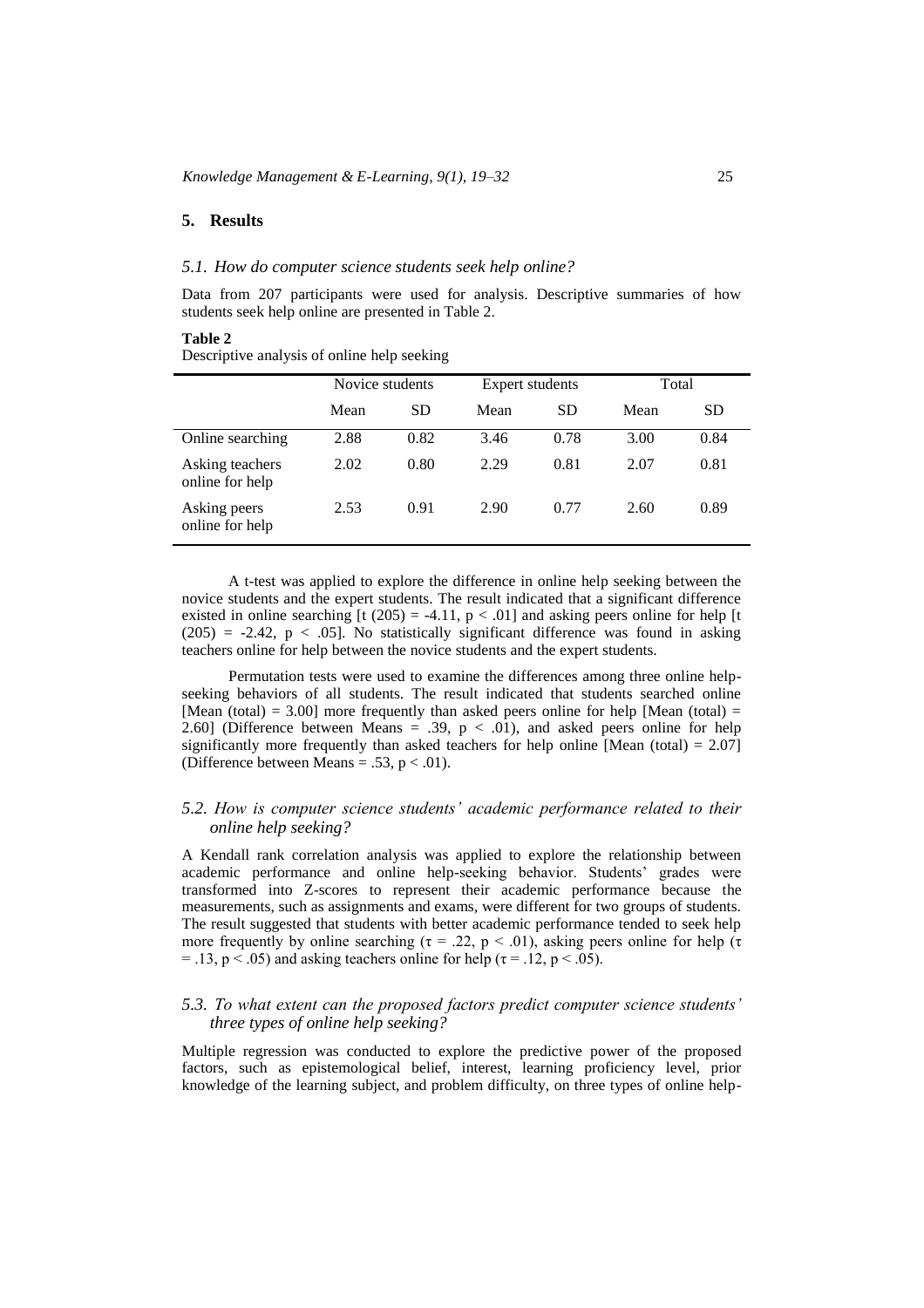#### **5. Results**

#### *5.1. How do computer science students seek help online?*

Data from 207 participants were used for analysis. Descriptive summaries of how students seek help online are presented in Table 2.

#### **Table 2**

Descriptive analysis of online help seeking

|                                    | Novice students |           |      | <b>Expert students</b> |      | Total     |  |
|------------------------------------|-----------------|-----------|------|------------------------|------|-----------|--|
|                                    | Mean            | <b>SD</b> | Mean | <b>SD</b>              | Mean | <b>SD</b> |  |
| Online searching                   | 2.88            | 0.82      | 3.46 | 0.78                   | 3.00 | 0.84      |  |
| Asking teachers<br>online for help | 2.02            | 0.80      | 2.29 | 0.81                   | 2.07 | 0.81      |  |
| Asking peers<br>online for help    | 2.53            | 0.91      | 2.90 | 0.77                   | 2.60 | 0.89      |  |

A t-test was applied to explore the difference in online help seeking between the novice students and the expert students. The result indicated that a significant difference existed in online searching  $[t (205) = -4.11, p < .01]$  and asking peers online for help  $[t]$  $(205) = -2.42$ ,  $p < .05$ ]. No statistically significant difference was found in asking teachers online for help between the novice students and the expert students.

Permutation tests were used to examine the differences among three online helpseeking behaviors of all students. The result indicated that students searched online [Mean (total) = 3.00] more frequently than asked peers online for help [Mean (total) = 2.60] (Difference between Means = .39,  $p < .01$ ), and asked peers online for help significantly more frequently than asked teachers for help online [Mean (total) =  $2.07$ ] (Difference between Means = .53,  $p < .01$ ).

# *5.2. How is computer science students' academic performance related to their online help seeking?*

A Kendall rank correlation analysis was applied to explore the relationship between academic performance and online help-seeking behavior. Students' grades were transformed into Z-scores to represent their academic performance because the measurements, such as assignments and exams, were different for two groups of students. The result suggested that students with better academic performance tended to seek help more frequently by online searching (τ = .22, p < .01), asking peers online for help (τ = .13, p < .05) and asking teachers online for help ( $\tau$  = .12, p < .05).

# *5.3. To what extent can the proposed factors predict computer science students' three types of online help seeking?*

Multiple regression was conducted to explore the predictive power of the proposed factors, such as epistemological belief, interest, learning proficiency level, prior knowledge of the learning subject, and problem difficulty, on three types of online help-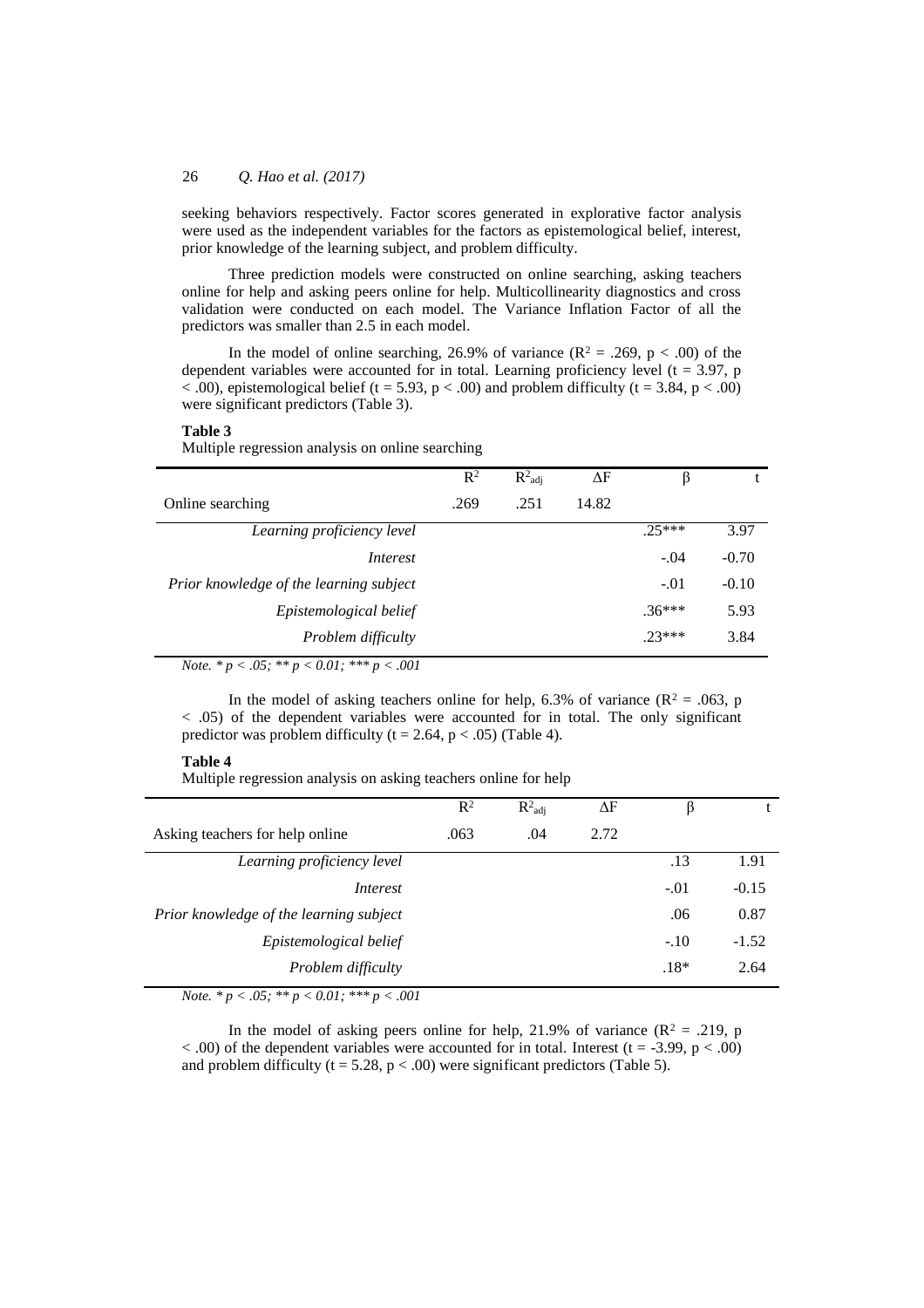seeking behaviors respectively. Factor scores generated in explorative factor analysis were used as the independent variables for the factors as epistemological belief, interest, prior knowledge of the learning subject, and problem difficulty.

Three prediction models were constructed on online searching, asking teachers online for help and asking peers online for help. Multicollinearity diagnostics and cross validation were conducted on each model. The Variance Inflation Factor of all the predictors was smaller than 2.5 in each model.

In the model of online searching, 26.9% of variance ( $R^2 = .269$ ,  $p < .00$ ) of the dependent variables were accounted for in total. Learning proficiency level ( $t = 3.97$ , p  $<$  0.00), epistemological belief (t = 5.93, p  $<$  0.00) and problem difficulty (t = 3.84, p  $<$  0.00) were significant predictors (Table 3).

#### **Table 3**

Multiple regression analysis on online searching

|                                                                                                                                | $\mathbb{R}^2$ | $R^2_{\text{adi}}$ | ΔF    |          |         |
|--------------------------------------------------------------------------------------------------------------------------------|----------------|--------------------|-------|----------|---------|
| Online searching                                                                                                               | .269           | .251               | 14.82 |          |         |
| Learning proficiency level                                                                                                     |                |                    |       | $25***$  | 3.97    |
| Interest                                                                                                                       |                |                    |       | $-.04$   | $-0.70$ |
| Prior knowledge of the learning subject                                                                                        |                |                    |       | $-.01$   | $-0.10$ |
| Epistemological belief                                                                                                         |                |                    |       | $.36***$ | 5.93    |
| Problem difficulty                                                                                                             |                |                    |       | $23***$  | 3.84    |
| $\mathbf{v}$ $\mathbf{v}$ $\mathbf{v}$ $\mathbf{v}$ $\mathbf{v}$<br>$\sim$ $\sim$ $\sim$<br>$\bigcap_{i=1}^n$<br>$0.01$ $0.01$ |                |                    |       |          |         |

*Note. \* p < .05; \*\* p < 0.01; \*\*\* p < .001*

In the model of asking teachers online for help, 6.3% of variance ( $\mathbb{R}^2 = .063$ , p < .05) of the dependent variables were accounted for in total. The only significant predictor was problem difficulty ( $t = 2.64$ ,  $p < .05$ ) (Table 4).

#### **Table 4**

Multiple regression analysis on asking teachers online for help

|                                         | $\mathbb{R}^2$ | $R^2_{\text{adj}}$ | ΔF   | ß      |         |
|-----------------------------------------|----------------|--------------------|------|--------|---------|
| Asking teachers for help online         | .063           | .04                | 2.72 |        |         |
| Learning proficiency level              |                |                    |      | .13    | 1.91    |
| Interest                                |                |                    |      | $-.01$ | $-0.15$ |
| Prior knowledge of the learning subject |                |                    |      | .06    | 0.87    |
| Epistemological belief                  |                |                    |      | $-.10$ | $-1.52$ |
| Problem difficulty                      |                |                    |      | $.18*$ | 2.64    |
|                                         |                |                    |      |        |         |

*Note. \* p < .05; \*\* p < 0.01; \*\*\* p < .001*

In the model of asking peers online for help, 21.9% of variance  $(R^2 = .219, p$  $<$  .00) of the dependent variables were accounted for in total. Interest (t = -3.99, p  $<$  .00) and problem difficulty ( $t = 5.28$ ,  $p < .00$ ) were significant predictors (Table 5).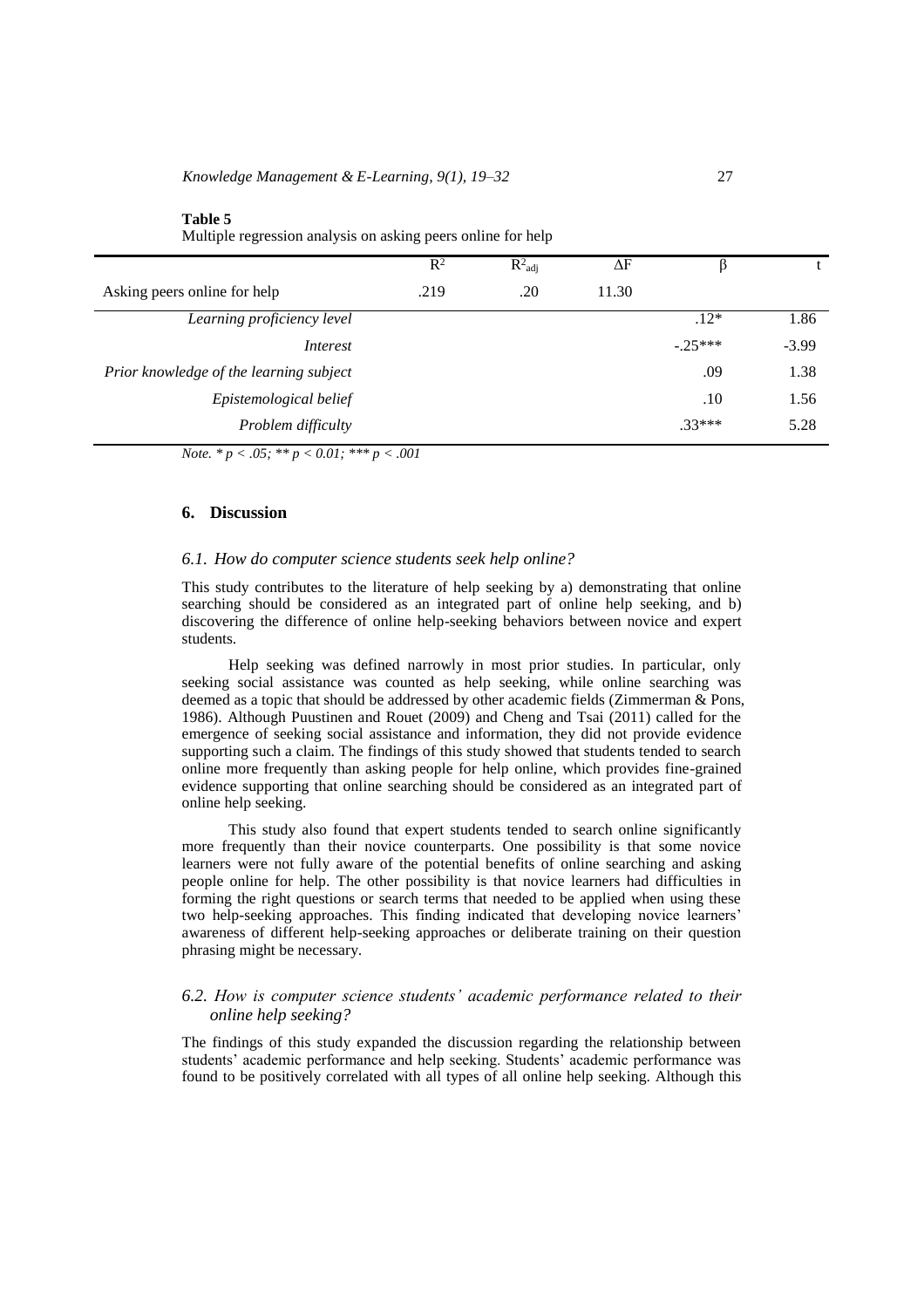| Multiple regression analysis on asking peers online for help |                |                      |       |          |         |
|--------------------------------------------------------------|----------------|----------------------|-------|----------|---------|
|                                                              | $\mathbb{R}^2$ | $R^2$ <sub>adj</sub> | ΔF    | ß        |         |
| Asking peers online for help                                 | .219           | .20                  | 11.30 |          |         |
| Learning proficiency level                                   |                |                      |       | $.12*$   | 1.86    |
| Interest                                                     |                |                      |       | $-25***$ | $-3.99$ |
| Prior knowledge of the learning subject                      |                |                      |       | .09      | 1.38    |
| Epistemological belief                                       |                | .10                  | 1.56  |          |         |
| Problem difficulty                                           |                |                      |       | $.33***$ | 5.28    |
| <i>Note.</i> * $p < .05$ ; * * $p < 0.01$ ; * * * $p < .001$ |                |                      |       |          |         |

#### **6. Discussion**

**Table 5**

#### *6.1. How do computer science students seek help online?*

This study contributes to the literature of help seeking by a) demonstrating that online searching should be considered as an integrated part of online help seeking, and b) discovering the difference of online help-seeking behaviors between novice and expert students.

Help seeking was defined narrowly in most prior studies. In particular, only seeking social assistance was counted as help seeking, while online searching was deemed as a topic that should be addressed by other academic fields (Zimmerman & Pons, 1986). Although Puustinen and Rouet (2009) and Cheng and Tsai (2011) called for the emergence of seeking social assistance and information, they did not provide evidence supporting such a claim. The findings of this study showed that students tended to search online more frequently than asking people for help online, which provides fine-grained evidence supporting that online searching should be considered as an integrated part of online help seeking.

This study also found that expert students tended to search online significantly more frequently than their novice counterparts. One possibility is that some novice learners were not fully aware of the potential benefits of online searching and asking people online for help. The other possibility is that novice learners had difficulties in forming the right questions or search terms that needed to be applied when using these two help-seeking approaches. This finding indicated that developing novice learners' awareness of different help-seeking approaches or deliberate training on their question phrasing might be necessary.

# *6.2. How is computer science students' academic performance related to their online help seeking?*

The findings of this study expanded the discussion regarding the relationship between students' academic performance and help seeking. Students' academic performance was found to be positively correlated with all types of all online help seeking. Although this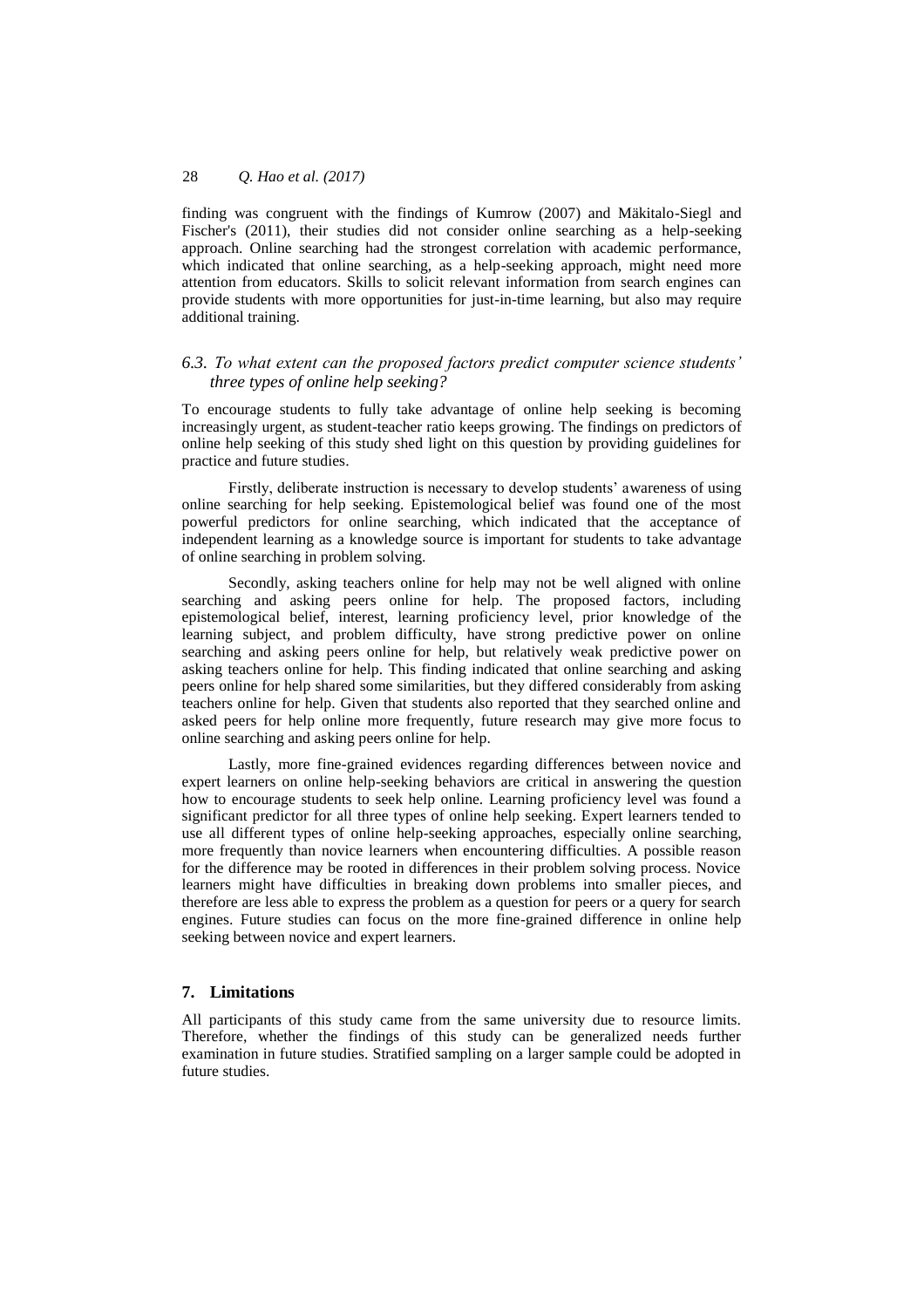finding was congruent with the findings of Kumrow (2007) and Mäkitalo-Siegl and Fischer's (2011), their studies did not consider online searching as a help-seeking approach. Online searching had the strongest correlation with academic performance, which indicated that online searching, as a help-seeking approach, might need more attention from educators. Skills to solicit relevant information from search engines can provide students with more opportunities for just-in-time learning, but also may require additional training.

# *6.3. To what extent can the proposed factors predict computer science students' three types of online help seeking?*

To encourage students to fully take advantage of online help seeking is becoming increasingly urgent, as student-teacher ratio keeps growing. The findings on predictors of online help seeking of this study shed light on this question by providing guidelines for practice and future studies.

Firstly, deliberate instruction is necessary to develop students' awareness of using online searching for help seeking. Epistemological belief was found one of the most powerful predictors for online searching, which indicated that the acceptance of independent learning as a knowledge source is important for students to take advantage of online searching in problem solving.

Secondly, asking teachers online for help may not be well aligned with online searching and asking peers online for help. The proposed factors, including epistemological belief, interest, learning proficiency level, prior knowledge of the learning subject, and problem difficulty, have strong predictive power on online searching and asking peers online for help, but relatively weak predictive power on asking teachers online for help. This finding indicated that online searching and asking peers online for help shared some similarities, but they differed considerably from asking teachers online for help. Given that students also reported that they searched online and asked peers for help online more frequently, future research may give more focus to online searching and asking peers online for help.

Lastly, more fine-grained evidences regarding differences between novice and expert learners on online help-seeking behaviors are critical in answering the question how to encourage students to seek help online. Learning proficiency level was found a significant predictor for all three types of online help seeking. Expert learners tended to use all different types of online help-seeking approaches, especially online searching, more frequently than novice learners when encountering difficulties. A possible reason for the difference may be rooted in differences in their problem solving process. Novice learners might have difficulties in breaking down problems into smaller pieces, and therefore are less able to express the problem as a question for peers or a query for search engines. Future studies can focus on the more fine-grained difference in online help seeking between novice and expert learners.

#### **7. Limitations**

All participants of this study came from the same university due to resource limits. Therefore, whether the findings of this study can be generalized needs further examination in future studies. Stratified sampling on a larger sample could be adopted in future studies.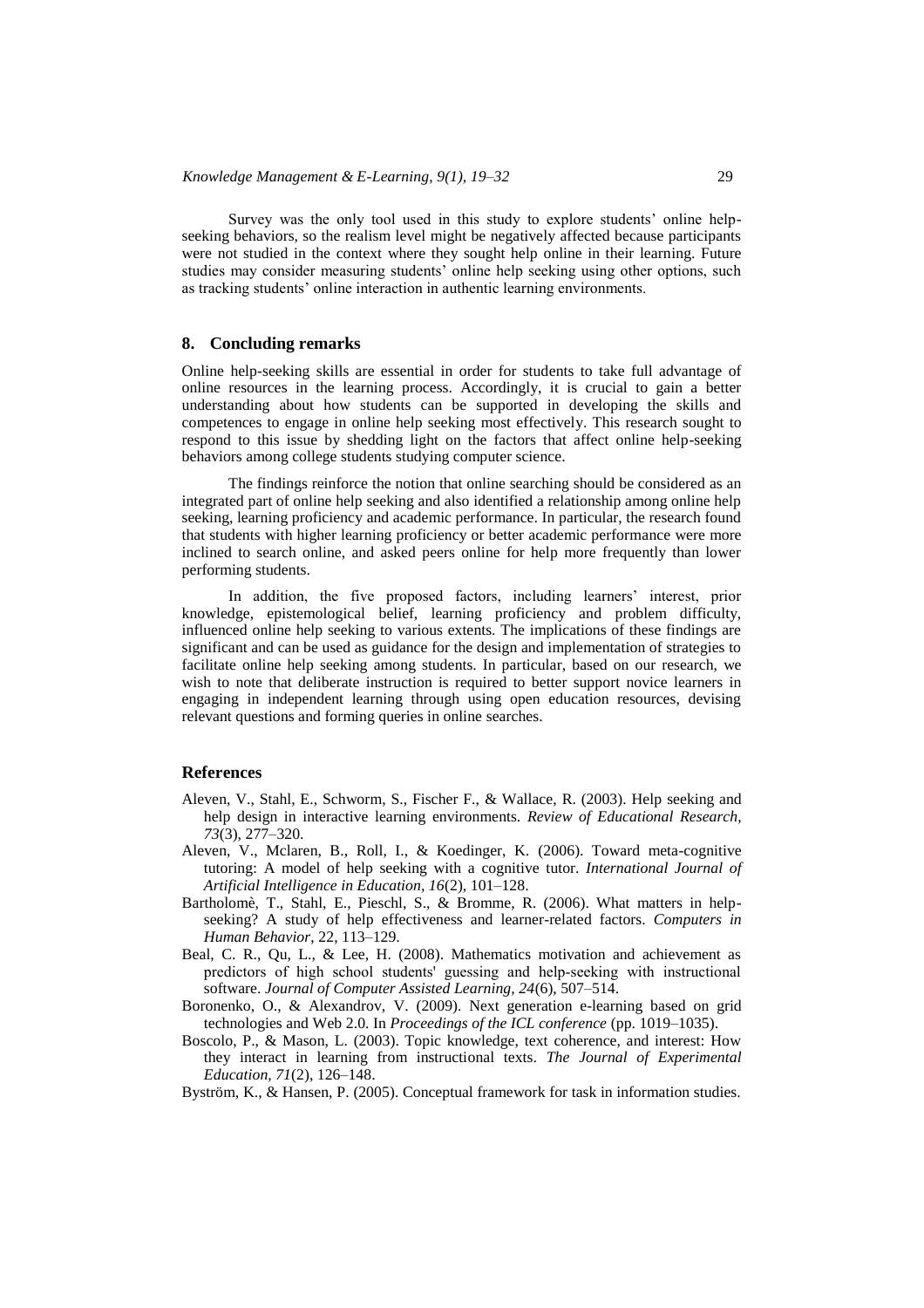Survey was the only tool used in this study to explore students' online helpseeking behaviors, so the realism level might be negatively affected because participants were not studied in the context where they sought help online in their learning. Future studies may consider measuring students' online help seeking using other options, such as tracking students' online interaction in authentic learning environments.

#### **8. Concluding remarks**

Online help-seeking skills are essential in order for students to take full advantage of online resources in the learning process. Accordingly, it is crucial to gain a better understanding about how students can be supported in developing the skills and competences to engage in online help seeking most effectively. This research sought to respond to this issue by shedding light on the factors that affect online help-seeking behaviors among college students studying computer science.

The findings reinforce the notion that online searching should be considered as an integrated part of online help seeking and also identified a relationship among online help seeking, learning proficiency and academic performance. In particular, the research found that students with higher learning proficiency or better academic performance were more inclined to search online, and asked peers online for help more frequently than lower performing students.

In addition, the five proposed factors, including learners' interest, prior knowledge, epistemological belief, learning proficiency and problem difficulty, influenced online help seeking to various extents. The implications of these findings are significant and can be used as guidance for the design and implementation of strategies to facilitate online help seeking among students. In particular, based on our research, we wish to note that deliberate instruction is required to better support novice learners in engaging in independent learning through using open education resources, devising relevant questions and forming queries in online searches.

#### **References**

- Aleven, V., Stahl, E., Schworm, S., Fischer F., & Wallace, R. (2003). Help seeking and help design in interactive learning environments. *Review of Educational Research, 73*(3), 277–320.
- Aleven, V., Mclaren, B., Roll, I., & Koedinger, K. (2006). Toward meta-cognitive tutoring: A model of help seeking with a cognitive tutor. *International Journal of Artificial Intelligence in Education, 16*(2), 101–128.
- Bartholomè, T., Stahl, E., Pieschl, S., & Bromme, R. (2006). What matters in helpseeking? A study of help effectiveness and learner-related factors. *Computers in Human Behavior*, 22, 113–129.
- Beal, C. R., Qu, L., & Lee, H. (2008). Mathematics motivation and achievement as predictors of high school students' guessing and help‐seeking with instructional software. *Journal of Computer Assisted Learning, 24*(6), 507–514.
- Boronenko, O., & Alexandrov, V. (2009). Next generation e-learning based on grid technologies and Web 2.0. In *Proceedings of the ICL conference* (pp. 1019–1035).
- Boscolo, P., & Mason, L. (2003). Topic knowledge, text coherence, and interest: How they interact in learning from instructional texts. *The Journal of Experimental Education, 71*(2), 126–148.

Byström, K., & Hansen, P. (2005). Conceptual framework for task in information studies.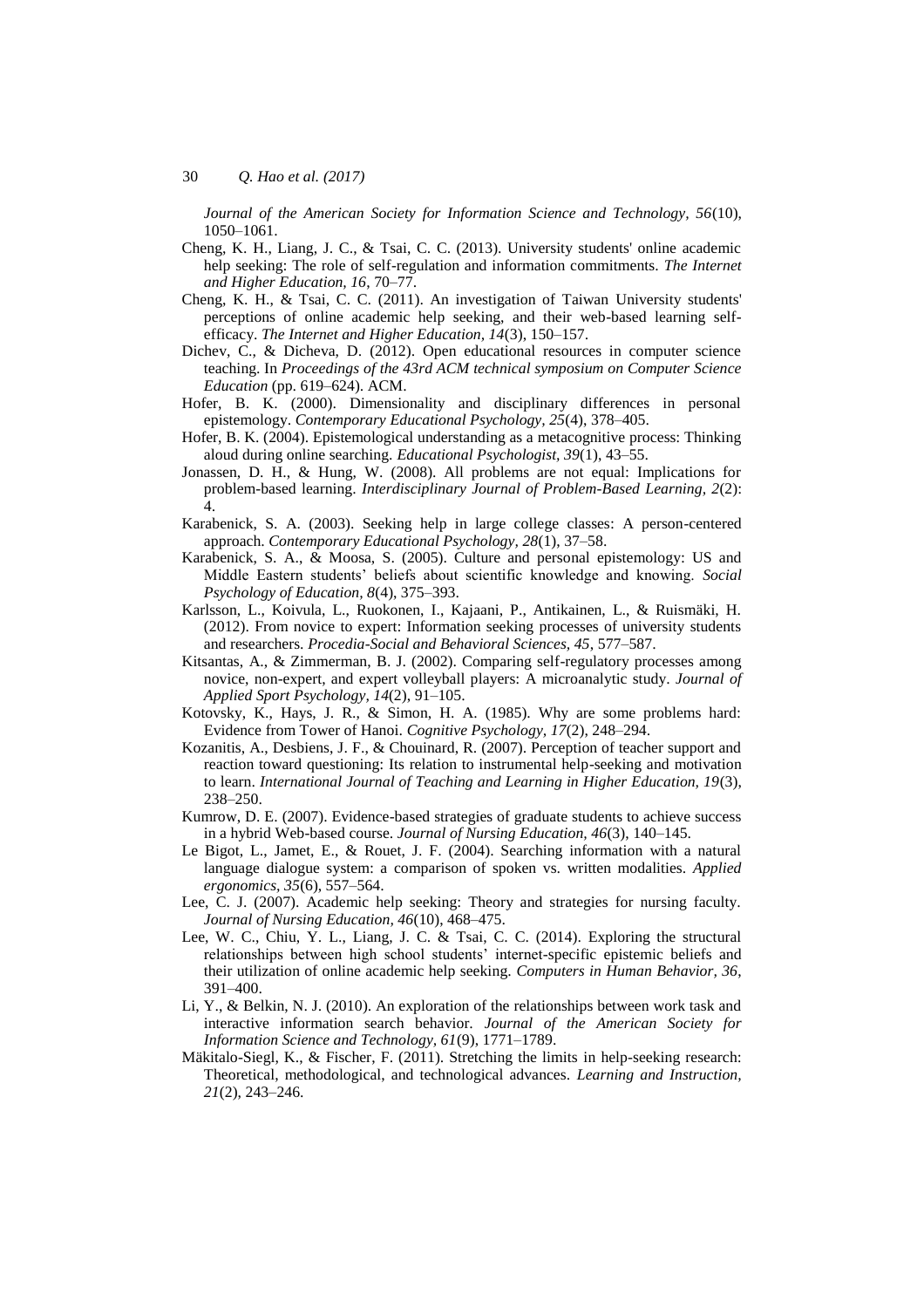*Journal of the American Society for Information Science and Technology, 56*(10), 1050–1061.

- Cheng, K. H., Liang, J. C., & Tsai, C. C. (2013). University students' online academic help seeking: The role of self-regulation and information commitments. *The Internet and Higher Education, 16*, 70–77.
- Cheng, K. H., & Tsai, C. C. (2011). An investigation of Taiwan University students' perceptions of online academic help seeking, and their web-based learning selfefficacy. *The Internet and Higher Education, 14*(3), 150–157.
- Dichev, C., & Dicheva, D. (2012). Open educational resources in computer science teaching. In *Proceedings of the 43rd ACM technical symposium on Computer Science Education* (pp. 619–624). ACM.
- Hofer, B. K. (2000). Dimensionality and disciplinary differences in personal epistemology. *Contemporary Educational Psychology, 25*(4), 378–405.
- Hofer, B. K. (2004). Epistemological understanding as a metacognitive process: Thinking aloud during online searching. *Educational Psychologist, 39*(1), 43–55.
- Jonassen, D. H., & Hung, W. (2008). All problems are not equal: Implications for problem-based learning. *Interdisciplinary Journal of Problem-Based Learning, 2*(2): 4.
- Karabenick, S. A. (2003). Seeking help in large college classes: A person-centered approach. *Contemporary Educational Psychology, 28*(1), 37–58.
- Karabenick, S. A., & Moosa, S. (2005). Culture and personal epistemology: US and Middle Eastern students' beliefs about scientific knowledge and knowing. *Social Psychology of Education, 8*(4), 375–393.
- Karlsson, L., Koivula, L., Ruokonen, I., Kajaani, P., Antikainen, L., & Ruismäki, H. (2012). From novice to expert: Information seeking processes of university students and researchers. *Procedia-Social and Behavioral Sciences, 45*, 577–587.
- Kitsantas, A., & Zimmerman, B. J. (2002). Comparing self-regulatory processes among novice, non-expert, and expert volleyball players: A microanalytic study. *Journal of Applied Sport Psychology, 14*(2), 91–105.
- Kotovsky, K., Hays, J. R., & Simon, H. A. (1985). Why are some problems hard: Evidence from Tower of Hanoi. *Cognitive Psychology, 17*(2), 248–294.
- Kozanitis, A., Desbiens, J. F., & Chouinard, R. (2007). Perception of teacher support and reaction toward questioning: Its relation to instrumental help-seeking and motivation to learn. *International Journal of Teaching and Learning in Higher Education, 19*(3), 238–250.
- Kumrow, D. E. (2007). Evidence-based strategies of graduate students to achieve success in a hybrid Web-based course. *Journal of Nursing Education, 46*(3), 140–145.
- Le Bigot, L., Jamet, E., & Rouet, J. F. (2004). Searching information with a natural language dialogue system: a comparison of spoken vs. written modalities. *Applied ergonomics, 35*(6), 557–564.
- Lee, C. J. (2007). Academic help seeking: Theory and strategies for nursing faculty. *Journal of Nursing Education, 46*(10), 468–475.
- Lee, W. C., Chiu, Y. L., Liang, J. C. & Tsai, C. C. (2014). Exploring the structural relationships between high school students' internet-specific epistemic beliefs and their utilization of online academic help seeking. *Computers in Human Behavior, 36*, 391–400.
- Li, Y., & Belkin, N. J. (2010). An exploration of the relationships between work task and interactive information search behavior. *Journal of the American Society for Information Science and Technology, 61*(9), 1771–1789.
- Mäkitalo-Siegl, K., & Fischer, F. (2011). Stretching the limits in help-seeking research: Theoretical, methodological, and technological advances. *Learning and Instruction, 21*(2), 243–246.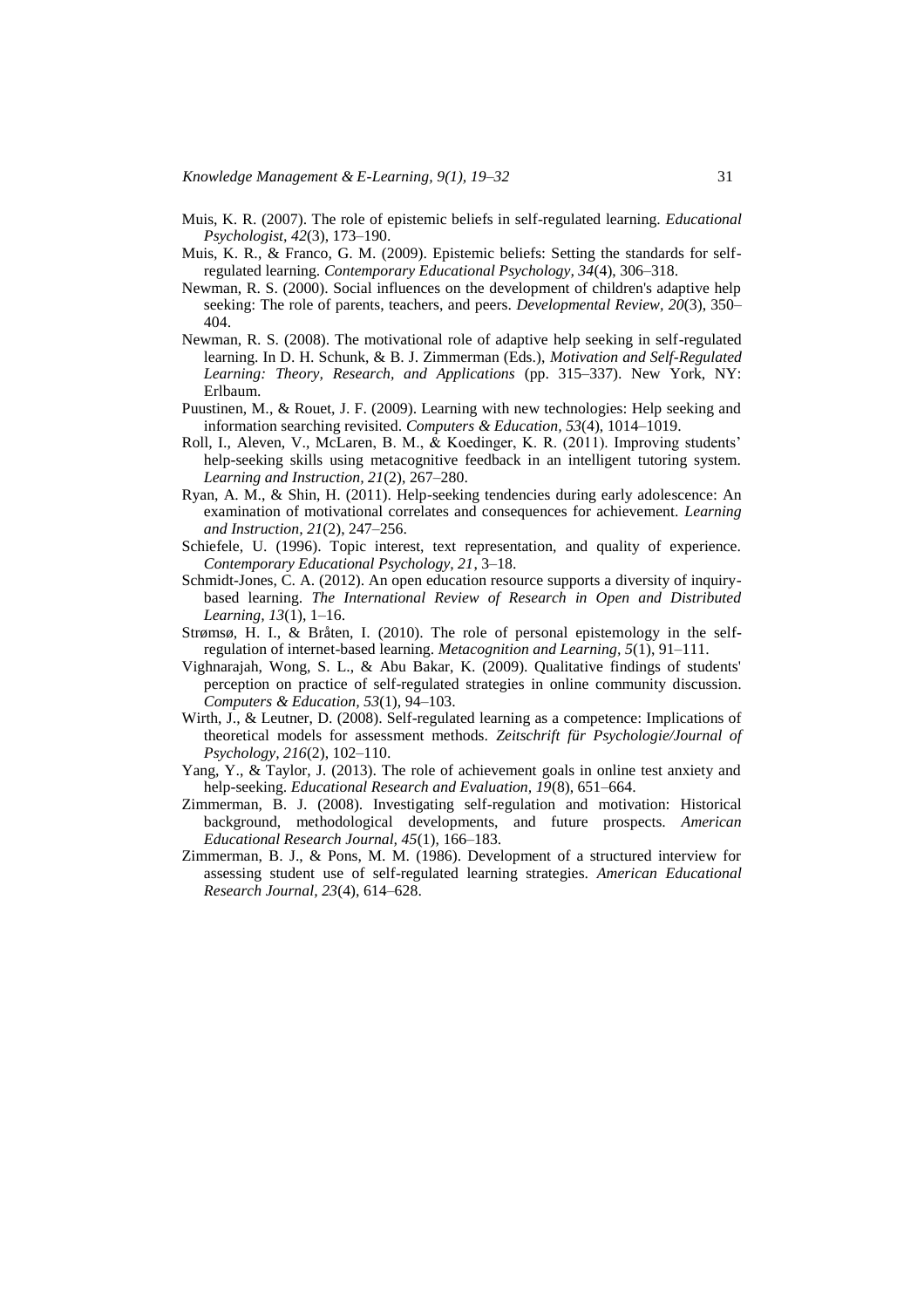- Muis, K. R. (2007). The role of epistemic beliefs in self-regulated learning. *Educational Psychologist, 42*(3), 173–190.
- Muis, K. R., & Franco, G. M. (2009). Epistemic beliefs: Setting the standards for selfregulated learning. *Contemporary Educational Psychology, 34*(4), 306–318.
- Newman, R. S. (2000). Social influences on the development of children's adaptive help seeking: The role of parents, teachers, and peers. *Developmental Review, 20*(3), 350– 404.
- Newman, R. S. (2008). The motivational role of adaptive help seeking in self-regulated learning. In D. H. Schunk, & B. J. Zimmerman (Eds.), *Motivation and Self-Regulated Learning: Theory, Research, and Applications* (pp. 315–337). New York, NY: Erlbaum.
- Puustinen, M., & Rouet, J. F. (2009). Learning with new technologies: Help seeking and information searching revisited. *Computers & Education, 53*(4), 1014–1019.
- Roll, I., Aleven, V., McLaren, B. M., & Koedinger, K. R. (2011). Improving students' help-seeking skills using metacognitive feedback in an intelligent tutoring system. *Learning and Instruction, 21*(2), 267–280.
- Ryan, A. M., & Shin, H. (2011). Help-seeking tendencies during early adolescence: An examination of motivational correlates and consequences for achievement. *Learning and Instruction, 21*(2), 247–256.
- Schiefele, U. (1996). Topic interest, text representation, and quality of experience. *Contemporary Educational Psychology, 21*, 3–18.
- Schmidt-Jones, C. A. (2012). An open education resource supports a diversity of inquirybased learning. *The International Review of Research in Open and Distributed Learning, 13*(1), 1–16.
- Strømsø, H. I., & Bråten, I. (2010). The role of personal epistemology in the selfregulation of internet-based learning. *Metacognition and Learning, 5*(1), 91–111.
- Vighnarajah, Wong, S. L., & Abu Bakar, K. (2009). Qualitative findings of students' perception on practice of self-regulated strategies in online community discussion. *Computers & Education, 53*(1), 94–103.
- Wirth, J., & Leutner, D. (2008). Self-regulated learning as a competence: Implications of theoretical models for assessment methods. *Zeitschrift für Psychologie/Journal of Psychology, 216*(2), 102–110.
- Yang, Y., & Taylor, J. (2013). The role of achievement goals in online test anxiety and help-seeking. *Educational Research and Evaluation, 19*(8), 651–664.
- Zimmerman, B. J. (2008). Investigating self-regulation and motivation: Historical background, methodological developments, and future prospects. *American Educational Research Journal, 45*(1), 166–183.
- Zimmerman, B. J., & Pons, M. M. (1986). Development of a structured interview for assessing student use of self-regulated learning strategies. *American Educational Research Journal, 23*(4), 614–628.